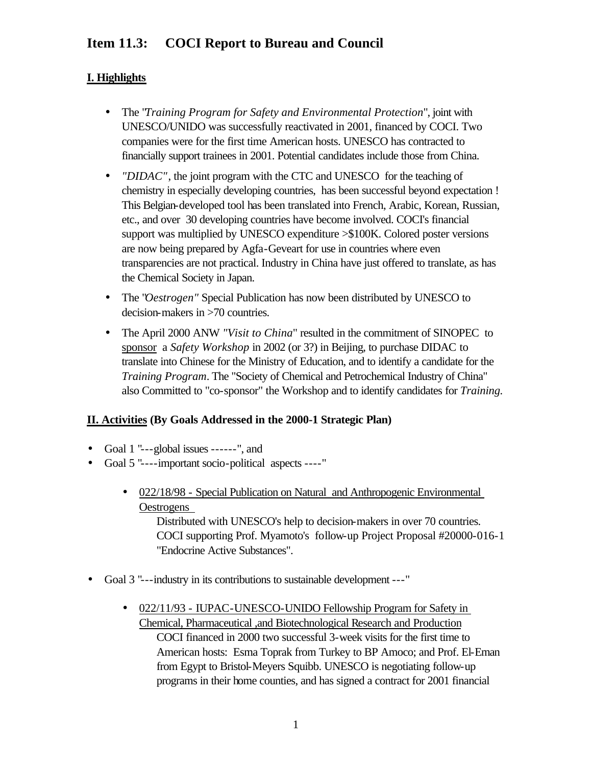# **Item 11.3: COCI Report to Bureau and Council**

## **I. Highlights**

- The "*Training Program for Safety and Environmental Protection*", joint with UNESCO/UNIDO was successfully reactivated in 2001, financed by COCI. Two companies were for the first time American hosts. UNESCO has contracted to financially support trainees in 2001. Potential candidates include those from China.
- *"DIDAC"*, the joint program with the CTC and UNESCO for the teaching of chemistry in especially developing countries, has been successful beyond expectation ! This Belgian-developed tool has been translated into French, Arabic, Korean, Russian, etc., and over 30 developing countries have become involved. COCI's financial support was multiplied by UNESCO expenditure >\$100K. Colored poster versions are now being prepared by Agfa-Geveart for use in countries where even transparencies are not practical. Industry in China have just offered to translate, as has the Chemical Society in Japan.
- The "*Oestrogen"* Special Publication has now been distributed by UNESCO to decision-makers in >70 countries.
- The April 2000 ANW *"Visit to China*" resulted in the commitment of SINOPEC to sponsor a *Safety Workshop* in 2002 (or 3?) in Beijing, to purchase DIDAC to translate into Chinese for the Ministry of Education, and to identify a candidate for the *Training Program*. The "Society of Chemical and Petrochemical Industry of China" also Committed to "co-sponsor" the Workshop and to identify candidates for *Training.*

### **II. Activities (By Goals Addressed in the 2000-1 Strategic Plan)**

- Goal 1 "---global issues ------", and
- Goal 5 "----important socio-political aspects ----"
	- 022/18/98 Special Publication on Natural and Anthropogenic Environmental **Oestrogens**

Distributed with UNESCO's help to decision-makers in over 70 countries. COCI supporting Prof. Myamoto's follow-up Project Proposal #20000-016-1 "Endocrine Active Substances".

- Goal 3 "---industry in its contributions to sustainable development ---"
	- 022/11/93 IUPAC-UNESCO-UNIDO Fellowship Program for Safety in Chemical, Pharmaceutical ,and Biotechnological Research and Production COCI financed in 2000 two successful 3-week visits for the first time to American hosts: Esma Toprak from Turkey to BP Amoco; and Prof. El-Eman from Egypt to Bristol-Meyers Squibb. UNESCO is negotiating follow-up programs in their home counties, and has signed a contract for 2001 financial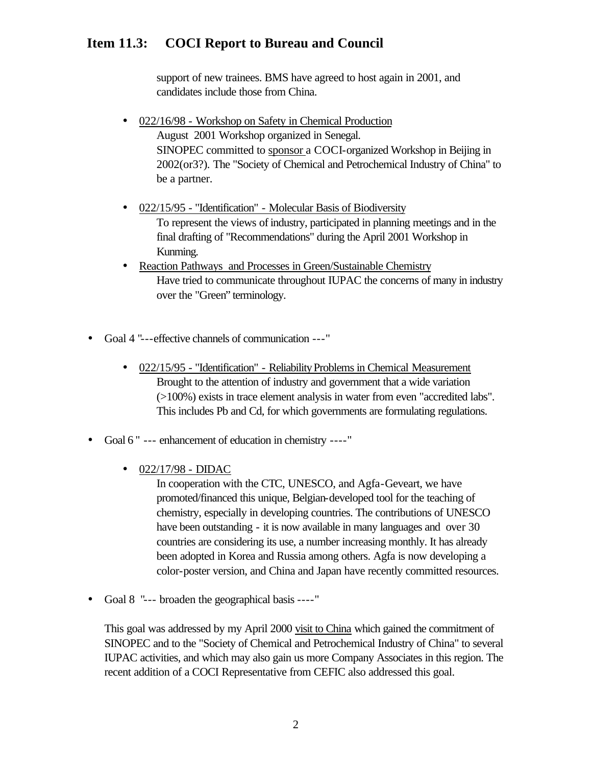## **Item 11.3: COCI Report to Bureau and Council**

support of new trainees. BMS have agreed to host again in 2001, and candidates include those from China.

- 022/16/98 Workshop on Safety in Chemical Production August 2001 Workshop organized in Senegal. SINOPEC committed to sponsor a COCI-organized Workshop in Beijing in 2002(or3?)*.* The "Society of Chemical and Petrochemical Industry of China" to be a partner.
- 022/15/95 "Identification" Molecular Basis of Biodiversity To represent the views of industry, participated in planning meetings and in the final drafting of "Recommendations" during the April 2001 Workshop in Kunming.
- Reaction Pathways and Processes in Green/Sustainable Chemistry Have tried to communicate throughout IUPAC the concerns of many in industry over the "Green" terminology.
- Goal 4 "---effective channels of communication ---"
	- 022/15/95 "Identification" Reliability Problems in Chemical Measurement Brought to the attention of industry and government that a wide variation (>100%) exists in trace element analysis in water from even "accredited labs". This includes Pb and Cd, for which governments are formulating regulations.
- Goal 6" --- enhancement of education in chemistry ----"
	- 022/17/98 DIDAC

In cooperation with the CTC, UNESCO, and Agfa-Geveart, we have promoted/financed this unique, Belgian-developed tool for the teaching of chemistry, especially in developing countries. The contributions of UNESCO have been outstanding - it is now available in many languages and over 30 countries are considering its use, a number increasing monthly. It has already been adopted in Korea and Russia among others. Agfa is now developing a color-poster version, and China and Japan have recently committed resources.

• Goal 8 "--- broaden the geographical basis ----"

This goal was addressed by my April 2000 visit to China which gained the commitment of SINOPEC and to the "Society of Chemical and Petrochemical Industry of China" to several IUPAC activities, and which may also gain us more Company Associates in this region. The recent addition of a COCI Representative from CEFIC also addressed this goal.